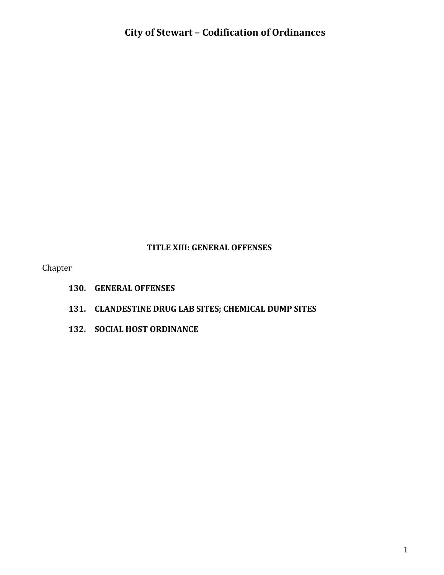#### **TITLE XIII: GENERAL OFFENSES**

Chapter

- **130. GENERAL OFFENSES**
- **131. CLANDESTINE DRUG LAB SITES; CHEMICAL DUMP SITES**
- **132. SOCIAL HOST ORDINANCE**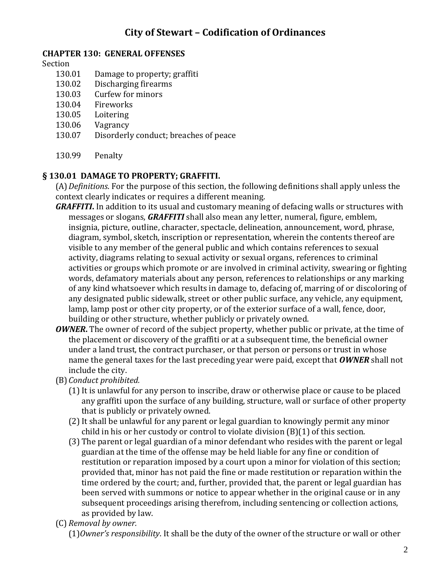### **CHAPTER 130: GENERAL OFFENSES**

#### Section

- 130.01 Damage to property; graffiti
- 130.02 Discharging firearms
- 130.03 Curfew for minors
- 130.04 Fireworks
- 130.05 Loitering
- 130.06 Vagrancy
- 130.07 Disorderly conduct; breaches of peace
- 130.99 Penalty

### **§ 130.01 DAMAGE TO PROPERTY; GRAFFITI.**

(A)*Definitions*. For the purpose of this section, the following definitions shall apply unless the context clearly indicates or requires a different meaning.

- *GRAFFITI***.** In addition to its usual and customary meaning of defacing walls or structures with messages or slogans, *GRAFFITI* shall also mean any letter, numeral, figure, emblem, insignia, picture, outline, character, spectacle, delineation, announcement, word, phrase, diagram, symbol, sketch, inscription or representation, wherein the contents thereof are visible to any member of the general public and which contains references to sexual activity, diagrams relating to sexual activity or sexual organs, references to criminal activities or groups which promote or are involved in criminal activity, swearing or fighting words, defamatory materials about any person, references to relationships or any marking of any kind whatsoever which results in damage to, defacing of, marring of or discoloring of any designated public sidewalk, street or other public surface, any vehicle, any equipment, lamp, lamp post or other city property, or of the exterior surface of a wall, fence, door, building or other structure, whether publicly or privately owned.
- *OWNER***.** The owner of record of the subject property, whether public or private, at the time of the placement or discovery of the graffiti or at a subsequent time, the beneficial owner under a land trust, the contract purchaser, or that person or persons or trust in whose name the general taxes for the last preceding year were paid, except that *OWNER* shall not include the city.
- (B)*Conduct prohibited.*
	- (1) It is unlawful for any person to inscribe, draw or otherwise place or cause to be placed any graffiti upon the surface of any building, structure, wall or surface of other property that is publicly or privately owned.
	- (2)It shall be unlawful for any parent or legal guardian to knowingly permit any minor child in his or her custody or control to violate division (B)(1) of this section.
	- (3) The parent or legal guardian of a minor defendant who resides with the parent or legal guardian at the time of the offense may be held liable for any fine or condition of restitution or reparation imposed by a court upon a minor for violation of this section; provided that, minor has not paid the fine or made restitution or reparation within the time ordered by the court; and, further, provided that, the parent or legal guardian has been served with summons or notice to appear whether in the original cause or in any subsequent proceedings arising therefrom, including sentencing or collection actions, as provided by law.
- (C) *Removal by owner.*

(1)*Owner's responsibility*. It shall be the duty of the owner of the structure or wall or other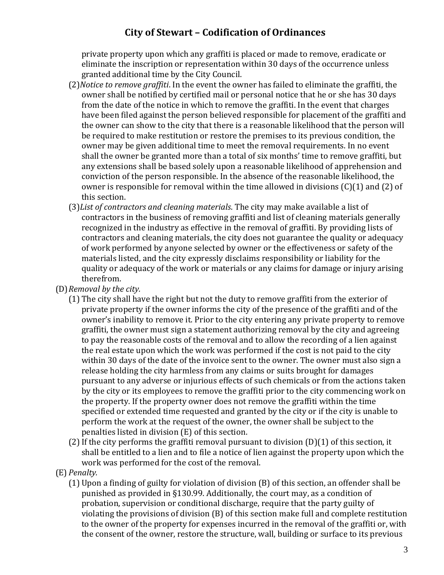private property upon which any graffiti is placed or made to remove, eradicate or eliminate the inscription or representation within 30 days of the occurrence unless granted additional time by the City Council.

- (2)*Notice to remove graffiti*. In the event the owner has failed to eliminate the graffiti, the owner shall be notified by certified mail or personal notice that he or she has 30 days from the date of the notice in which to remove the graffiti. In the event that charges have been filed against the person believed responsible for placement of the graffiti and the owner can show to the city that there is a reasonable likelihood that the person will be required to make restitution or restore the premises to its previous condition, the owner may be given additional time to meet the removal requirements. In no event shall the owner be granted more than a total of six months' time to remove graffiti, but any extensions shall be based solely upon a reasonable likelihood of apprehension and conviction of the person responsible. In the absence of the reasonable likelihood, the owner is responsible for removal within the time allowed in divisions (C)(1) and (2) of this section.
- (3)*List of contractors and cleaning materials*. The city may make available a list of contractors in the business of removing graffiti and list of cleaning materials generally recognized in the industry as effective in the removal of graffiti. By providing lists of contractors and cleaning materials, the city does not guarantee the quality or adequacy of work performed by anyone selected by owner or the effectiveness or safety of the materials listed, and the city expressly disclaims responsibility or liability for the quality or adequacy of the work or materials or any claims for damage or injury arising therefrom.
- (D)*Removal by the city.*
	- (1) The city shall have the right but not the duty to remove graffiti from the exterior of private property if the owner informs the city of the presence of the graffiti and of the owner's inability to remove it. Prior to the city entering any private property to remove graffiti, the owner must sign a statement authorizing removal by the city and agreeing to pay the reasonable costs of the removal and to allow the recording of a lien against the real estate upon which the work was performed if the cost is not paid to the city within 30 days of the date of the invoice sent to the owner. The owner must also sign a release holding the city harmless from any claims or suits brought for damages pursuant to any adverse or injurious effects of such chemicals or from the actions taken by the city or its employees to remove the graffiti prior to the city commencing work on the property. If the property owner does not remove the graffiti within the time specified or extended time requested and granted by the city or if the city is unable to perform the work at the request of the owner, the owner shall be subject to the penalties listed in division (E) of this section.
	- (2) If the city performs the graffiti removal pursuant to division  $(D)(1)$  of this section, it shall be entitled to a lien and to file a notice of lien against the property upon which the work was performed for the cost of the removal.
- (E) *Penalty.*
	- (1) Upon a finding of guilty for violation of division (B) of this section, an offender shall be punished as provided in §130.99. Additionally, the court may, as a condition of probation, supervision or conditional discharge, require that the party guilty of violating the provisions of division (B) of this section make full and complete restitution to the owner of the property for expenses incurred in the removal of the graffiti or, with the consent of the owner, restore the structure, wall, building or surface to its previous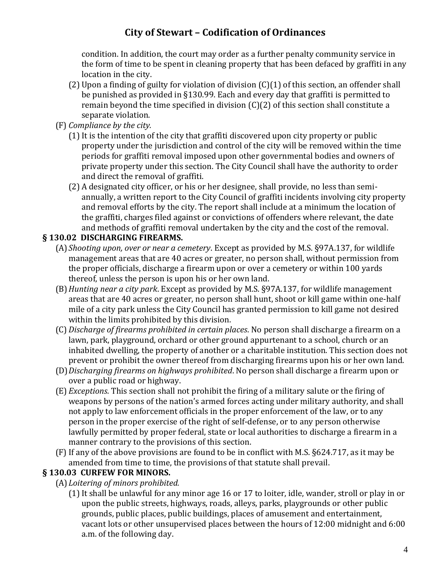condition. In addition, the court may order as a further penalty community service in the form of time to be spent in cleaning property that has been defaced by graffiti in any location in the city.

- (2) Upon a finding of guilty for violation of division (C)(1) of this section, an offender shall be punished as provided in §130.99. Each and every day that graffiti is permitted to remain beyond the time specified in division (C)(2) of this section shall constitute a separate violation.
- (F) *Compliance by the city.*
	- (1) It is the intention of the city that graffiti discovered upon city property or public property under the jurisdiction and control of the city will be removed within the time periods for graffiti removal imposed upon other governmental bodies and owners of private property under this section. The City Council shall have the authority to order and direct the removal of graffiti.
	- (2) A designated city officer, or his or her designee, shall provide, no less than semiannually, a written report to the City Council of graffiti incidents involving city property and removal efforts by the city. The report shall include at a minimum the location of the graffiti, charges filed against or convictions of offenders where relevant, the date and methods of graffiti removal undertaken by the city and the cost of the removal.

### **§ 130.02 DISCHARGING FIREARMS.**

- (A)*Shooting upon, over or near a cemetery*. Except as provided by M.S. §97A.137, for wildlife management areas that are 40 acres or greater, no person shall, without permission from the proper officials, discharge a firearm upon or over a cemetery or within 100 yards thereof, unless the person is upon his or her own land.
- (B)*Hunting near a city park*. Except as provided by M.S. §97A.137, for wildlife management areas that are 40 acres or greater, no person shall hunt, shoot or kill game within one-half mile of a city park unless the City Council has granted permission to kill game not desired within the limits prohibited by this division.
- (C) *Discharge of firearms prohibited in certain places*. No person shall discharge a firearm on a lawn, park, playground, orchard or other ground appurtenant to a school, church or an inhabited dwelling, the property of another or a charitable institution. This section does not prevent or prohibit the owner thereof from discharging firearms upon his or her own land.
- (D)*Discharging firearms on highways prohibited*. No person shall discharge a firearm upon or over a public road or highway.
- (E) *Exceptions*. This section shall not prohibit the firing of a military salute or the firing of weapons by persons of the nation's armed forces acting under military authority, and shall not apply to law enforcement officials in the proper enforcement of the law, or to any person in the proper exercise of the right of self-defense, or to any person otherwise lawfully permitted by proper federal, state or local authorities to discharge a firearm in a manner contrary to the provisions of this section.
- (F) If any of the above provisions are found to be in conflict with M.S. §624.717, as it may be amended from time to time, the provisions of that statute shall prevail.

### **§ 130.03 CURFEW FOR MINORS.**

- (A)*Loitering of minors prohibited.*
	- (1)It shall be unlawful for any minor age 16 or 17 to loiter, idle, wander, stroll or play in or upon the public streets, highways, roads, alleys, parks, playgrounds or other public grounds, public places, public buildings, places of amusement and entertainment, vacant lots or other unsupervised places between the hours of 12:00 midnight and 6:00 a.m. of the following day.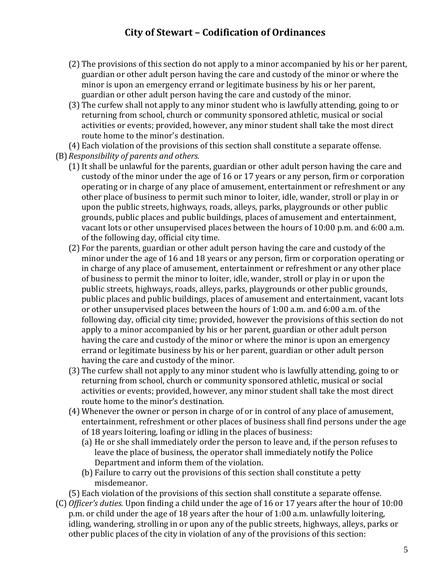- (2) The provisions of this section do not apply to a minor accompanied by his or her parent, guardian or other adult person having the care and custody of the minor or where the minor is upon an emergency errand or legitimate business by his or her parent, guardian or other adult person having the care and custody of the minor.
- (3) The curfew shall not apply to any minor student who is lawfully attending, going to or returning from school, church or community sponsored athletic, musical or social activities or events; provided, however, any minor student shall take the most direct route home to the minor's destination.

(4) Each violation of the provisions of this section shall constitute a separate offense. (B)*Responsibility of parents and others.*

- (1) It shall be unlawful for the parents, guardian or other adult person having the care and custody of the minor under the age of 16 or 17 years or any person, firm or corporation operating or in charge of any place of amusement, entertainment or refreshment or any other place of business to permit such minor to loiter, idle, wander, stroll or play in or upon the public streets, highways, roads, alleys, parks, playgrounds or other public grounds, public places and public buildings, places of amusement and entertainment, vacant lots or other unsupervised places between the hours of 10:00 p.m. and 6:00 a.m. of the following day, official city time.
- (2) For the parents, guardian or other adult person having the care and custody of the minor under the age of 16 and 18 years or any person, firm or corporation operating or in charge of any place of amusement, entertainment or refreshment or any other place of business to permit the minor to loiter, idle, wander, stroll or play in or upon the public streets, highways, roads, alleys, parks, playgrounds or other public grounds, public places and public buildings, places of amusement and entertainment, vacant lots or other unsupervised places between the hours of 1:00 a.m. and 6:00 a.m. of the following day, official city time; provided, however the provisions of this section do not apply to a minor accompanied by his or her parent, guardian or other adult person having the care and custody of the minor or where the minor is upon an emergency errand or legitimate business by his or her parent, guardian or other adult person having the care and custody of the minor.
- (3) The curfew shall not apply to any minor student who is lawfully attending, going to or returning from school, church or community sponsored athletic, musical or social activities or events; provided, however, any minor student shall take the most direct route home to the minor's destination.
- (4) Whenever the owner or person in charge of or in control of any place of amusement, entertainment, refreshment or other places of business shall find persons under the age of 18 years loitering, loafing or idling in the places of business:
	- (a) He or she shall immediately order the person to leave and, if the person refuses to leave the place of business, the operator shall immediately notify the Police Department and inform them of the violation.
	- (b) Failure to carry out the provisions of this section shall constitute a petty misdemeanor.

(5) Each violation of the provisions of this section shall constitute a separate offense.

(C) *Officer's duties.* Upon finding a child under the age of 16 or 17 years after the hour of 10:00 p.m. or child under the age of 18 years after the hour of 1:00 a.m. unlawfully loitering, idling, wandering, strolling in or upon any of the public streets, highways, alleys, parks or other public places of the city in violation of any of the provisions of this section: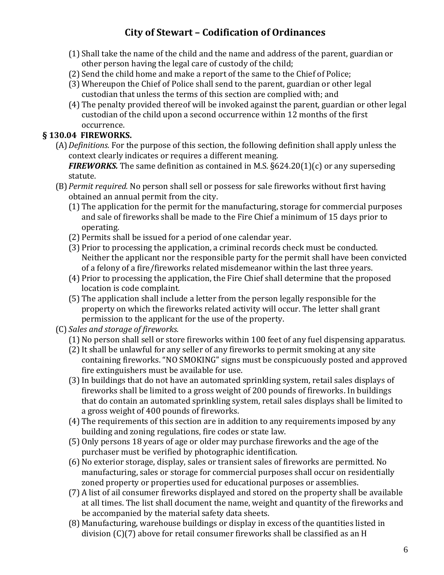- (1) Shall take the name of the child and the name and address of the parent, guardian or other person having the legal care of custody of the child;
- (2) Send the child home and make a report of the same to the Chief of Police;
- (3) Whereupon the Chief of Police shall send to the parent, guardian or other legal custodian that unless the terms of this section are complied with; and
- (4) The penalty provided thereof will be invoked against the parent, guardian or other legal custodian of the child upon a second occurrence within 12 months of the first occurrence.

### **§ 130.04 FIREWORKS.**

(A)*Definitions.* For the purpose of this section, the following definition shall apply unless the context clearly indicates or requires a different meaning.

*FIREWORKS.* The same definition as contained in M.S.  $\S624.20(1)(c)$  or any superseding statute.

- (B)*Permit required.* No person shall sell or possess for sale fireworks without first having obtained an annual permit from the city.
	- (1) The application for the permit for the manufacturing, storage for commercial purposes and sale of fireworks shall be made to the Fire Chief a minimum of 15 days prior to operating.
	- (2) Permits shall be issued for a period of one calendar year.
	- (3) Prior to processing the application, a criminal records check must be conducted. Neither the applicant nor the responsible party for the permit shall have been convicted of a felony of a fire/fireworks related misdemeanor within the last three years.
	- (4) Prior to processing the application, the Fire Chief shall determine that the proposed location is code complaint.
	- (5) The application shall include a letter from the person legally responsible for the property on which the fireworks related activity will occur. The letter shall grant permission to the applicant for the use of the property.
- (C) *Sales and storage of fireworks.*
	- (1) No person shall sell or store fireworks within 100 feet of any fuel dispensing apparatus.
	- (2)It shall be unlawful for any seller of any fireworks to permit smoking at any site containing fireworks. "NO SMOKING" signs must be conspicuously posted and approved fire extinguishers must be available for use.
	- (3)In buildings that do not have an automated sprinkling system, retail sales displays of fireworks shall be limited to a gross weight of 200 pounds of fireworks. In buildings that do contain an automated sprinkling system, retail sales displays shall be limited to a gross weight of 400 pounds of fireworks.
	- (4) The requirements of this section are in addition to any requirements imposed by any building and zoning regulations, fire codes or state law.
	- (5) Only persons 18 years of age or older may purchase fireworks and the age of the purchaser must be verified by photographic identification.
	- (6) No exterior storage, display, sales or transient sales of fireworks are permitted. No manufacturing, sales or storage for commercial purposes shall occur on residentially zoned property or properties used for educational purposes or assemblies.
	- (7) A list of ail consumer fireworks displayed and stored on the property shall be available at all times. The list shall document the name, weight and quantity of the fireworks and be accompanied by the material safety data sheets.
	- (8) Manufacturing, warehouse buildings or display in excess of the quantities listed in division (C)(7) above for retail consumer fireworks shall be classified as an H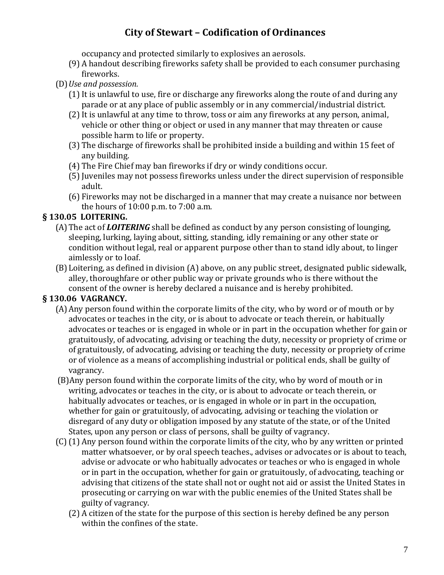occupancy and protected similarly to explosives an aerosols.

- (9) A handout describing fireworks safety shall be provided to each consumer purchasing fireworks.
- (D)*Use and possession.*
	- (1) It is unlawful to use, fire or discharge any fireworks along the route of and during any parade or at any place of public assembly or in any commercial/industrial district.
	- (2) It is unlawful at any time to throw, toss or aim any fireworks at any person, animal, vehicle or other thing or object or used in any manner that may threaten or cause possible harm to life or property.
	- (3) The discharge of fireworks shall be prohibited inside a building and within 15 feet of any building.
	- (4) The Fire Chief may ban fireworks if dry or windy conditions occur.
	- (5) Juveniles may not possess fireworks unless under the direct supervision of responsible adult.
	- (6) Fireworks may not be discharged in a manner that may create a nuisance nor between the hours of 10:00 p.m. to 7:00 a.m.

## **§ 130.05 LOITERING.**

- (A)The act of *LOITERING* shall be defined as conduct by any person consisting of lounging, sleeping, lurking, laying about, sitting, standing, idly remaining or any other state or condition without legal, real or apparent purpose other than to stand idly about, to linger aimlessly or to loaf.
- (B)Loitering, as defined in division (A) above, on any public street, designated public sidewalk, alley, thoroughfare or other public way or private grounds who is there without the consent of the owner is hereby declared a nuisance and is hereby prohibited.

# **§ 130.06 VAGRANCY.**

- (A)Any person found within the corporate limits of the city, who by word or of mouth or by advocates or teaches in the city, or is about to advocate or teach therein, or habitually advocates or teaches or is engaged in whole or in part in the occupation whether for gain or gratuitously, of advocating, advising or teaching the duty, necessity or propriety of crime or of gratuitously, of advocating, advising or teaching the duty, necessity or propriety of crime or of violence as a means of accomplishing industrial or political ends, shall be guilty of vagrancy.
- (B)Any person found within the corporate limits of the city, who by word of mouth or in writing, advocates or teaches in the city, or is about to advocate or teach therein, or habitually advocates or teaches, or is engaged in whole or in part in the occupation, whether for gain or gratuitously, of advocating, advising or teaching the violation or disregard of any duty or obligation imposed by any statute of the state, or of the United States, upon any person or class of persons, shall be guilty of vagrancy.
- (C)(1) Any person found within the corporate limits of the city, who by any written or printed matter whatsoever, or by oral speech teaches., advises or advocates or is about to teach, advise or advocate or who habitually advocates or teaches or who is engaged in whole or in part in the occupation, whether for gain or gratuitously, of advocating, teaching or advising that citizens of the state shall not or ought not aid or assist the United States in prosecuting or carrying on war with the public enemies of the United States shall be guilty of vagrancy.
	- (2) A citizen of the state for the purpose of this section is hereby defined be any person within the confines of the state.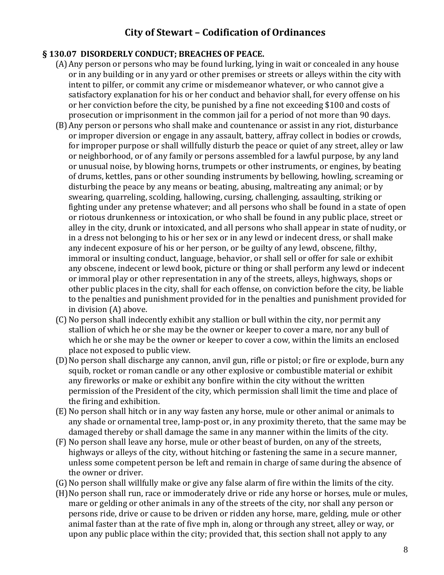#### **§ 130.07 DISORDERLY CONDUCT; BREACHES OF PEACE.**

- (A)Any person or persons who may be found lurking, lying in wait or concealed in any house or in any building or in any yard or other premises or streets or alleys within the city with intent to pilfer, or commit any crime or misdemeanor whatever, or who cannot give a satisfactory explanation for his or her conduct and behavior shall, for every offense on his or her conviction before the city, be punished by a fine not exceeding \$100 and costs of prosecution or imprisonment in the common jail for a period of not more than 90 days.
- (B)Any person or persons who shall make and countenance or assist in any riot, disturbance or improper diversion or engage in any assault, battery, affray collect in bodies or crowds, for improper purpose or shall willfully disturb the peace or quiet of any street, alley or law or neighborhood, or of any family or persons assembled for a lawful purpose, by any land or unusual noise, by blowing horns, trumpets or other instruments, or engines, by beating of drums, kettles, pans or other sounding instruments by bellowing, howling, screaming or disturbing the peace by any means or beating, abusing, maltreating any animal; or by swearing, quarreling, scolding, hallowing, cursing, challenging, assaulting, striking or fighting under any pretense whatever; and all persons who shall be found in a state of open or riotous drunkenness or intoxication, or who shall be found in any public place, street or alley in the city, drunk or intoxicated, and all persons who shall appear in state of nudity, or in a dress not belonging to his or her sex or in any lewd or indecent dress, or shall make any indecent exposure of his or her person, or be guilty of any lewd, obscene, filthy, immoral or insulting conduct, language, behavior, or shall sell or offer for sale or exhibit any obscene, indecent or lewd book, picture or thing or shall perform any lewd or indecent or immoral play or other representation in any of the streets, alleys, highways, shops or other public places in the city, shall for each offense, on conviction before the city, be liable to the penalties and punishment provided for in the penalties and punishment provided for in division (A) above.
- (C) No person shall indecently exhibit any stallion or bull within the city, nor permit any stallion of which he or she may be the owner or keeper to cover a mare, nor any bull of which he or she may be the owner or keeper to cover a cow, within the limits an enclosed place not exposed to public view.
- (D)No person shall discharge any cannon, anvil gun, rifle or pistol; or fire or explode, burn any squib, rocket or roman candle or any other explosive or combustible material or exhibit any fireworks or make or exhibit any bonfire within the city without the written permission of the President of the city, which permission shall limit the time and place of the firing and exhibition.
- (E)No person shall hitch or in any way fasten any horse, mule or other animal or animals to any shade or ornamental tree, lamp-post or, in any proximity thereto, that the same may be damaged thereby or shall damage the same in any manner within the limits of the city.
- (F) No person shall leave any horse, mule or other beast of burden, on any of the streets, highways or alleys of the city, without hitching or fastening the same in a secure manner, unless some competent person be left and remain in charge of same during the absence of the owner or driver.
- (G)No person shall willfully make or give any false alarm of fire within the limits of the city.
- (H)No person shall run, race or immoderately drive or ride any horse or horses, mule or mules, mare or gelding or other animals in any of the streets of the city, nor shall any person or persons ride, drive or cause to be driven or ridden any horse, mare, gelding, mule or other animal faster than at the rate of five mph in, along or through any street, alley or way, or upon any public place within the city; provided that, this section shall not apply to any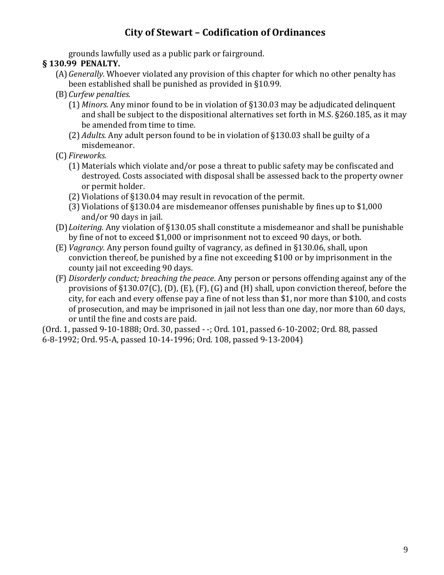grounds lawfully used as a public park or fairground.

### **§ 130.99 PENALTY.**

- (A)*Generally.* Whoever violated any provision of this chapter for which no other penalty has been established shall be punished as provided in §10.99.
- (B)*Curfew penalties.*
	- (1) *Minors.* Any minor found to be in violation of §130.03 may be adjudicated delinquent and shall be subject to the dispositional alternatives set forth in M.S. §260.185, as it may be amended from time to time.
	- (2) *Adults.* Any adult person found to be in violation of §130.03 shall be guilty of a misdemeanor.
- (C) *Fireworks.*
	- (1) Materials which violate and/or pose a threat to public safety may be confiscated and destroyed. Costs associated with disposal shall be assessed back to the property owner or permit holder.
	- (2) Violations of §130.04 may result in revocation of the permit.
	- (3) Violations of §130.04 are misdemeanor offenses punishable by fines up to \$1,000 and/or 90 days in jail.
- (D)*Loitering.* Any violation of §130.05 shall constitute a misdemeanor and shall be punishable by fine of not to exceed \$1,000 or imprisonment not to exceed 90 days, or both.
- (E) *Vagrancy.* Any person found guilty of vagrancy, as defined in §130.06, shall, upon conviction thereof, be punished by a fine not exceeding \$100 or by imprisonment in the county jail not exceeding 90 days.
- (F) *Disorderly conduct; breaching the peace*. Any person or persons offending against any of the provisions of §130.07(C), (D), (E), (F), (G) and (H) shall, upon conviction thereof, before the city, for each and every offense pay a fine of not less than \$1, nor more than \$100, and costs of prosecution, and may be imprisoned in jail not less than one day, nor more than 60 days, or until the fine and costs are paid.

(Ord. 1, passed 9-10-1888; Ord. 30, passed - -; Ord. 101, passed 6-10-2002; Ord. 88, passed 6-8-1992; Ord. 95-A, passed 10-14-1996; Ord. 108, passed 9-13-2004)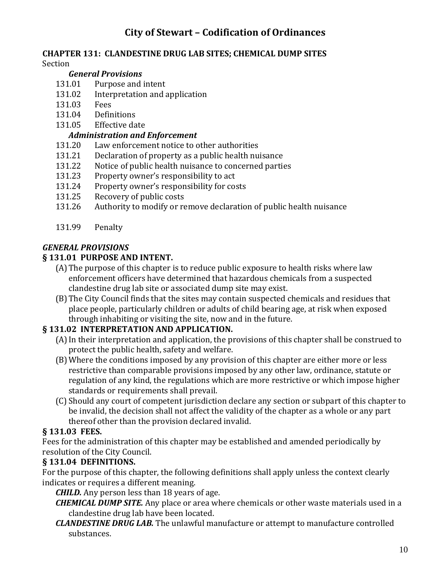#### **CHAPTER 131: CLANDESTINE DRUG LAB SITES; CHEMICAL DUMP SITES** Section

### *General Provisions*

- 131.01 Purpose and intent
- 131.02 Interpretation and application
- 131.03 Fees
- 131.04 Definitions
- 131.05 Effective date

## *Administration and Enforcement*

- 131.20 Law enforcement notice to other authorities
- 131.21 Declaration of property as a public health nuisance
- 131.22 Notice of public health nuisance to concerned parties
- 131.23 Property owner's responsibility to act
- 131.24 Property owner's responsibility for costs
- 131.25 Recovery of public costs
- 131.26 Authority to modify or remove declaration of public health nuisance
- 131.99 Penalty

## *GENERAL PROVISIONS*

## **§ 131.01 PURPOSE AND INTENT.**

- (A)The purpose of this chapter is to reduce public exposure to health risks where law enforcement officers have determined that hazardous chemicals from a suspected clandestine drug lab site or associated dump site may exist.
- (B)The City Council finds that the sites may contain suspected chemicals and residues that place people, particularly children or adults of child bearing age, at risk when exposed through inhabiting or visiting the site, now and in the future.

## **§ 131.02 INTERPRETATION AND APPLICATION.**

- (A)In their interpretation and application, the provisions of this chapter shall be construed to protect the public health, safety and welfare.
- (B)Where the conditions imposed by any provision of this chapter are either more or less restrictive than comparable provisions imposed by any other law, ordinance, statute or regulation of any kind, the regulations which are more restrictive or which impose higher standards or requirements shall prevail.
- (C)Should any court of competent jurisdiction declare any section or subpart of this chapter to be invalid, the decision shall not affect the validity of the chapter as a whole or any part thereof other than the provision declared invalid.

# **§ 131.03 FEES.**

Fees for the administration of this chapter may be established and amended periodically by resolution of the City Council.

# **§ 131.04 DEFINITIONS.**

For the purpose of this chapter, the following definitions shall apply unless the context clearly indicates or requires a different meaning.

*CHILD.* Any person less than 18 years of age.

- *CHEMICAL DUMP SITE.* Any place or area where chemicals or other waste materials used in a clandestine drug lab have been located.
- *CLANDESTINE DRUG LAB.* The unlawful manufacture or attempt to manufacture controlled substances.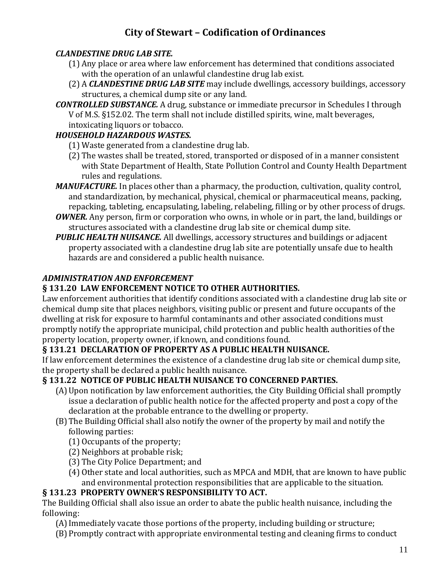### *CLANDESTINE DRUG LAB SITE.*

- (1) Any place or area where law enforcement has determined that conditions associated with the operation of an unlawful clandestine drug lab exist.
- (2) A *CLANDESTINE DRUG LAB SITE* may include dwellings, accessory buildings, accessory structures, a chemical dump site or any land.
- *CONTROLLED SUBSTANCE.* A drug, substance or immediate precursor in Schedules I through V of M.S. §152.02. The term shall not include distilled spirits, wine, malt beverages, intoxicating liquors or tobacco.

## *HOUSEHOLD HAZARDOUS WASTES.*

- (1) Waste generated from a clandestine drug lab.
- (2) The wastes shall be treated, stored, transported or disposed of in a manner consistent with State Department of Health, State Pollution Control and County Health Department rules and regulations.
- *MANUFACTURE.* In places other than a pharmacy, the production, cultivation, quality control, and standardization, by mechanical, physical, chemical or pharmaceutical means, packing, repacking, tableting, encapsulating, labeling, relabeling, filling or by other process of drugs.
- *OWNER.* Any person, firm or corporation who owns, in whole or in part, the land, buildings or structures associated with a clandestine drug lab site or chemical dump site.
- *PUBLIC HEALTH NUISANCE.* All dwellings, accessory structures and buildings or adjacent property associated with a clandestine drug lab site are potentially unsafe due to health hazards are and considered a public health nuisance.

## *ADMINISTRATION AND ENFORCEMENT*

## **§ 131.20 LAW ENFORCEMENT NOTICE TO OTHER AUTHORITIES.**

Law enforcement authorities that identify conditions associated with a clandestine drug lab site or chemical dump site that places neighbors, visiting public or present and future occupants of the dwelling at risk for exposure to harmful contaminants and other associated conditions must promptly notify the appropriate municipal, child protection and public health authorities of the property location, property owner, if known, and conditions found.

## **§ 131.21 DECLARATION OF PROPERTY AS A PUBLIC HEALTH NUISANCE.**

If law enforcement determines the existence of a clandestine drug lab site or chemical dump site, the property shall be declared a public health nuisance.

## **§ 131.22 NOTICE OF PUBLIC HEALTH NUISANCE TO CONCERNED PARTIES.**

- (A)Upon notification by law enforcement authorities, the City Building Official shall promptly issue a declaration of public health notice for the affected property and post a copy of the declaration at the probable entrance to the dwelling or property.
- (B)The Building Official shall also notify the owner of the property by mail and notify the following parties:
	- (1) Occupants of the property;
	- (2) Neighbors at probable risk;
	- (3) The City Police Department; and
	- (4) Other state and local authorities, such as MPCA and MDH, that are known to have public and environmental protection responsibilities that are applicable to the situation.

## **§ 131.23 PROPERTY OWNER'S RESPONSIBILITY TO ACT.**

The Building Official shall also issue an order to abate the public health nuisance, including the following:

- (A)Immediately vacate those portions of the property, including building or structure;
- (B)Promptly contract with appropriate environmental testing and cleaning firms to conduct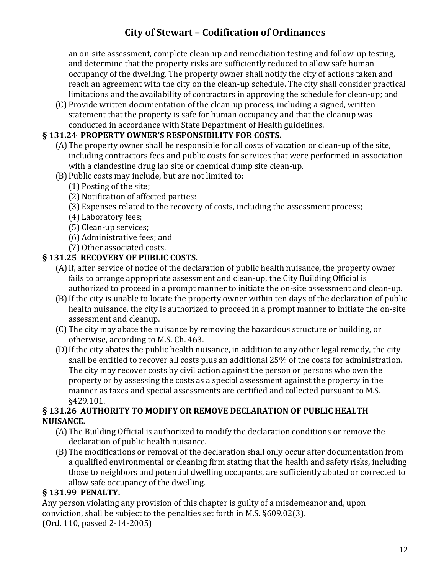an on-site assessment, complete clean-up and remediation testing and follow-up testing, and determine that the property risks are sufficiently reduced to allow safe human occupancy of the dwelling. The property owner shall notify the city of actions taken and reach an agreement with the city on the clean-up schedule. The city shall consider practical limitations and the availability of contractors in approving the schedule for clean-up; and

(C) Provide written documentation of the clean-up process, including a signed, written statement that the property is safe for human occupancy and that the cleanup was conducted in accordance with State Department of Health guidelines.

#### **§ 131.24 PROPERTY OWNER'S RESPONSIBILITY FOR COSTS.**

- (A)The property owner shall be responsible for all costs of vacation or clean-up of the site, including contractors fees and public costs for services that were performed in association with a clandestine drug lab site or chemical dump site clean-up.
- (B)Public costs may include, but are not limited to:
	- (1) Posting of the site;
	- (2) Notification of affected parties:
	- (3) Expenses related to the recovery of costs, including the assessment process;
	- (4) Laboratory fees;
	- (5) Clean-up services;
	- (6) Administrative fees; and
	- (7) Other associated costs.

### **§ 131.25 RECOVERY OF PUBLIC COSTS.**

- (A)If, after service of notice of the declaration of public health nuisance, the property owner fails to arrange appropriate assessment and clean-up, the City Building Official is authorized to proceed in a prompt manner to initiate the on-site assessment and clean-up.
- (B)If the city is unable to locate the property owner within ten days of the declaration of public health nuisance, the city is authorized to proceed in a prompt manner to initiate the on-site assessment and cleanup.
- (C) The city may abate the nuisance by removing the hazardous structure or building, or otherwise, according to M.S. Ch. 463.
- (D)If the city abates the public health nuisance, in addition to any other legal remedy, the city shall be entitled to recover all costs plus an additional 25% of the costs for administration. The city may recover costs by civil action against the person or persons who own the property or by assessing the costs as a special assessment against the property in the manner as taxes and special assessments are certified and collected pursuant to M.S. §429.101.

### **§ 131.26 AUTHORITY TO MODIFY OR REMOVE DECLARATION OF PUBLIC HEALTH NUISANCE.**

- (A)The Building Official is authorized to modify the declaration conditions or remove the declaration of public health nuisance.
- (B)The modifications or removal of the declaration shall only occur after documentation from a qualified environmental or cleaning firm stating that the health and safety risks, including those to neighbors and potential dwelling occupants, are sufficiently abated or corrected to allow safe occupancy of the dwelling.

### **§ 131.99 PENALTY.**

Any person violating any provision of this chapter is guilty of a misdemeanor and, upon conviction, shall be subject to the penalties set forth in M.S. §609.02(3). (Ord. 110, passed 2-14-2005)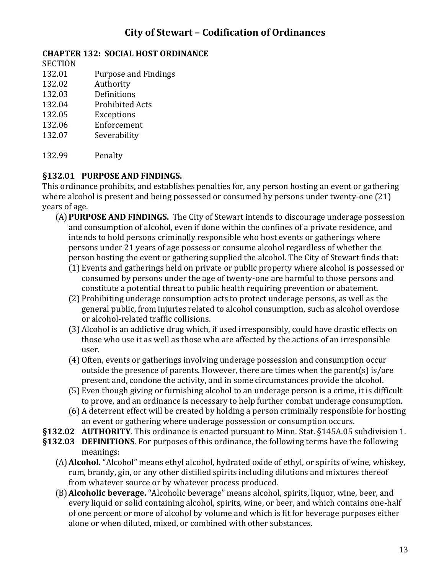### **CHAPTER 132: SOCIAL HOST ORDINANCE**

**SECTION** 

- 132.01 Purpose and Findings
- 132.02 Authority
- 132.03 Definitions
- 132.04 Prohibited Acts
- 132.05 Exceptions
- 132.06 Enforcement
- 132.07 Severability
- 132.99 Penalty

## **§132.01 PURPOSE AND FINDINGS.**

This ordinance prohibits, and establishes penalties for, any person hosting an event or gathering where alcohol is present and being possessed or consumed by persons under twenty-one (21) years of age.

- (A)**PURPOSE AND FINDINGS.** The City of Stewart intends to discourage underage possession and consumption of alcohol, even if done within the confines of a private residence, and intends to hold persons criminally responsible who host events or gatherings where persons under 21 years of age possess or consume alcohol regardless of whether the person hosting the event or gathering supplied the alcohol. The City of Stewart finds that:
	- (1) Events and gatherings held on private or public property where alcohol is possessed or consumed by persons under the age of twenty-one are harmful to those persons and constitute a potential threat to public health requiring prevention or abatement.
	- (2) Prohibiting underage consumption acts to protect underage persons, as well as the general public, from injuries related to alcohol consumption, such as alcohol overdose or alcohol-related traffic collisions.
	- (3) Alcohol is an addictive drug which, if used irresponsibly, could have drastic effects on those who use it as well as those who are affected by the actions of an irresponsible user.
	- (4) Often, events or gatherings involving underage possession and consumption occur outside the presence of parents. However, there are times when the parent(s) is/are present and, condone the activity, and in some circumstances provide the alcohol.
	- (5) Even though giving or furnishing alcohol to an underage person is a crime, it is difficult to prove, and an ordinance is necessary to help further combat underage consumption.
	- (6) A deterrent effect will be created by holding a person criminally responsible for hosting an event or gathering where underage possession or consumption occurs.
- **§132.02 AUTHORITY**. This ordinance is enacted pursuant to Minn. Stat. §145A.05 subdivision 1.
- **§132.03 DEFINITIONS**. For purposes of this ordinance, the following terms have the following meanings:
	- (A)**Alcohol.** "Alcohol" means ethyl alcohol, hydrated oxide of ethyl, or spirits of wine, whiskey, rum, brandy, gin, or any other distilled spirits including dilutions and mixtures thereof from whatever source or by whatever process produced.
	- (B)**Alcoholic beverage.** "Alcoholic beverage" means alcohol, spirits, liquor, wine, beer, and every liquid or solid containing alcohol, spirits, wine, or beer, and which contains one-half of one percent or more of alcohol by volume and which is fit for beverage purposes either alone or when diluted, mixed, or combined with other substances.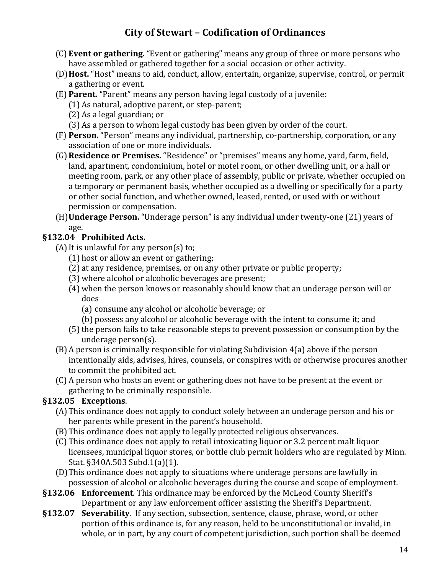- (C) **Event or gathering.** "Event or gathering" means any group of three or more persons who have assembled or gathered together for a social occasion or other activity.
- (D)**Host.** "Host" means to aid, conduct, allow, entertain, organize, supervise, control, or permit a gathering or event.
- (E) **Parent.** "Parent" means any person having legal custody of a juvenile:
	- (1) As natural, adoptive parent, or step-parent;
	- (2) As a legal guardian; or
	- (3) As a person to whom legal custody has been given by order of the court.
- (F) **Person.** "Person" means any individual, partnership, co-partnership, corporation, or any association of one or more individuals.
- (G)**Residence or Premises.** "Residence" or "premises" means any home, yard, farm, field, land, apartment, condominium, hotel or motel room, or other dwelling unit, or a hall or meeting room, park, or any other place of assembly, public or private, whether occupied on a temporary or permanent basis, whether occupied as a dwelling or specifically for a party or other social function, and whether owned, leased, rented, or used with or without permission or compensation.
- (H)**Underage Person.** "Underage person" is any individual under twenty-one (21) years of age.

## **§132.04 Prohibited Acts.**

- (A) It is unlawful for any person(s) to;
	- (1) host or allow an event or gathering;
	- (2) at any residence, premises, or on any other private or public property;
	- (3) where alcohol or alcoholic beverages are present;
	- (4) when the person knows or reasonably should know that an underage person will or does
		- (a) consume any alcohol or alcoholic beverage; or
		- (b) possess any alcohol or alcoholic beverage with the intent to consume it; and
	- (5) the person fails to take reasonable steps to prevent possession or consumption by the underage person(s).
- (B)A person is criminally responsible for violating Subdivision 4(a) above if the person intentionally aids, advises, hires, counsels, or conspires with or otherwise procures another to commit the prohibited act.
- (C) A person who hosts an event or gathering does not have to be present at the event or gathering to be criminally responsible.

## **§132.05 Exceptions**.

- (A)This ordinance does not apply to conduct solely between an underage person and his or her parents while present in the parent's household.
- (B)This ordinance does not apply to legally protected religious observances.
- (C) This ordinance does not apply to retail intoxicating liquor or 3.2 percent malt liquor licensees, municipal liquor stores, or bottle club permit holders who are regulated by Minn. Stat. §340A.503 Subd.1(a)(1).
- (D)This ordinance does not apply to situations where underage persons are lawfully in possession of alcohol or alcoholic beverages during the course and scope of employment.
- **§132.06 Enforcement**. This ordinance may be enforced by the McLeod County Sheriff's Department or any law enforcement officer assisting the Sheriff's Department.
- **§132.07 Severability**. If any section, subsection, sentence, clause, phrase, word, or other portion of this ordinance is, for any reason, held to be unconstitutional or invalid, in whole, or in part, by any court of competent jurisdiction, such portion shall be deemed